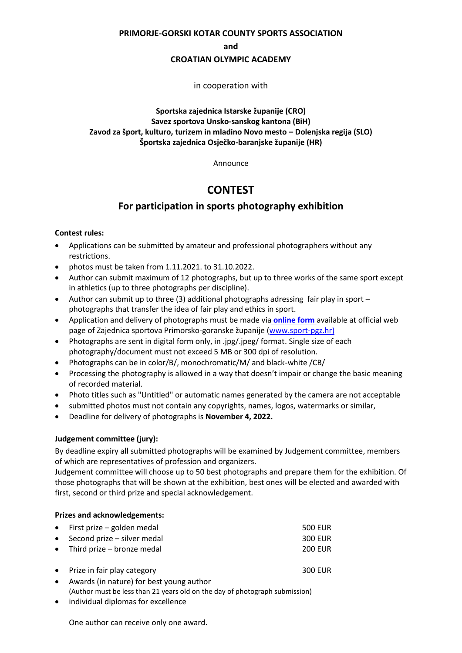**PRIMORJE-GORSKI KOTAR COUNTY SPORTS ASSOCIATION**

**and**

#### **CROATIAN OLYMPIC ACADEMY**

in cooperation with

# **Sportska zajednica Istarske županije (CRO) Savez sportova Unsko-sanskog kantona (BiH) Zavod za šport, kulturo, turizem in mladino Novo mesto – Dolenjska regija (SLO) Športska zajednica Osječko-baranjske županije (HR)**

Announce

# **CONTEST**

# **For participation in sports photography exhibition**

#### **Contest rules:**

- Applications can be submitted by amateur and professional photographers without any restrictions.
- $\bullet$  photos must be taken from 1.11.2021. to 31.10.2022.
- Author can submit maximum of 12 photographs, but up to three works of the same sport except in athletics (up to three photographs per discipline).
- Author can submit up to three (3) additional photographs adressing fair play in sport photographs that transfer the idea of fair play and ethics in sport.
- Application and delivery of photographs must be made via **[online form](http://sport-pgz.hr/natjecaj/)** available at official web page of Zajednica sportova Primorsko-goranske županije ([www.sport-pgz.hr\)](http://www.sport-pgz.hr/)
- Photographs are sent in digital form only, in .jpg/.jpeg/ format. Single size of each photography/document must not exceed 5 MB or 300 dpi of resolution.
- Photographs can be in color/B/, monochromatic/M/ and black-white /CB/
- Processing the photography is allowed in a way that doesn't impair or change the basic meaning of recorded material.
- Photo titles such as "Untitled" or automatic names generated by the camera are not acceptable
- submitted photos must not contain any copyrights, names, logos, watermarks or similar,
- Deadline for delivery of photographs is **November 4, 2022.**

# **Judgement committee (jury):**

By deadline expiry all submitted photographs will be examined by Judgement committee, members of which are representatives of profession and organizers.

Judgement committee will choose up to 50 best photographs and prepare them for the exhibition. Of those photographs that will be shown at the exhibition, best ones will be elected and awarded with first, second or third prize and special acknowledgement.

#### **Prizes and acknowledgements:**

| • First prize – golden medal    | 500 EUR        |
|---------------------------------|----------------|
| • Second prize $-$ silver medal | 300 EUR        |
| • Third prize $-$ bronze medal  | <b>200 EUR</b> |
|                                 |                |
| • Prize in fair play category   | <b>300 EUR</b> |

- Awards (in nature) for best young author (Author must be less than 21 years old on the day of photograph submission)
- individual diplomas for excellence

One author can receive only one award.